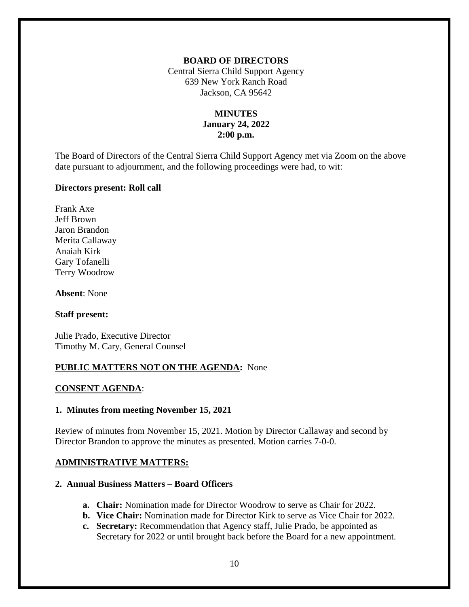### **BOARD OF DIRECTORS**

Central Sierra Child Support Agency 639 New York Ranch Road Jackson, CA 95642

# **MINUTES January 24, 2022 2:00 p.m.**

The Board of Directors of the Central Sierra Child Support Agency met via Zoom on the above date pursuant to adjournment, and the following proceedings were had, to wit:

### **Directors present: Roll call**

Frank Axe Jeff Brown Jaron Brandon Merita Callaway Anaiah Kirk Gary Tofanelli Terry Woodrow

**Absent**: None

#### **Staff present:**

Julie Prado, Executive Director Timothy M. Cary, General Counsel

## **PUBLIC MATTERS NOT ON THE AGENDA:** None

#### **CONSENT AGENDA**:

## **1. Minutes from meeting November 15, 2021**

Review of minutes from November 15, 2021. Motion by Director Callaway and second by Director Brandon to approve the minutes as presented. Motion carries 7-0-0.

## **ADMINISTRATIVE MATTERS:**

#### **2. Annual Business Matters – Board Officers**

- **a. Chair:** Nomination made for Director Woodrow to serve as Chair for 2022.
- **b. Vice Chair:** Nomination made for Director Kirk to serve as Vice Chair for 2022.
- **c. Secretary:** Recommendation that Agency staff, Julie Prado, be appointed as Secretary for 2022 or until brought back before the Board for a new appointment.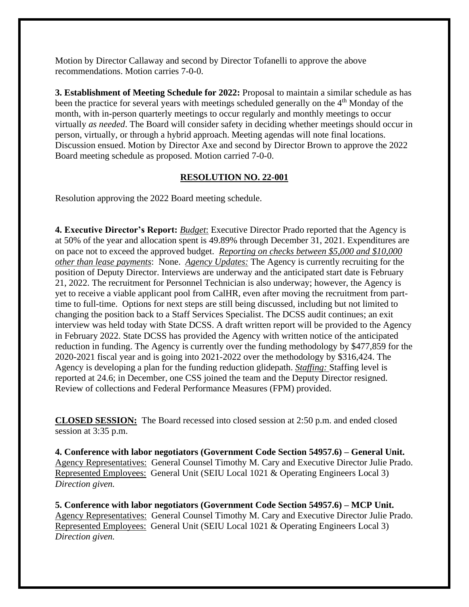Motion by Director Callaway and second by Director Tofanelli to approve the above recommendations. Motion carries 7-0-0.

**3. Establishment of Meeting Schedule for 2022:** Proposal to maintain a similar schedule as has been the practice for several years with meetings scheduled generally on the 4<sup>th</sup> Monday of the month, with in-person quarterly meetings to occur regularly and monthly meetings to occur virtually *as needed*. The Board will consider safety in deciding whether meetings should occur in person, virtually, or through a hybrid approach. Meeting agendas will note final locations. Discussion ensued. Motion by Director Axe and second by Director Brown to approve the 2022 Board meeting schedule as proposed. Motion carried 7-0-0.

# **RESOLUTION NO. 22-001**

Resolution approving the 2022 Board meeting schedule.

**4. Executive Director's Report:** *Budget*: Executive Director Prado reported that the Agency is at 50% of the year and allocation spent is 49.89% through December 31, 2021. Expenditures are on pace not to exceed the approved budget. *Reporting on checks between \$5,000 and \$10,000 other than lease payments*: None. *Agency Updates:* The Agency is currently recruiting for the position of Deputy Director. Interviews are underway and the anticipated start date is February 21, 2022. The recruitment for Personnel Technician is also underway; however, the Agency is yet to receive a viable applicant pool from CalHR, even after moving the recruitment from parttime to full-time. Options for next steps are still being discussed, including but not limited to changing the position back to a Staff Services Specialist. The DCSS audit continues; an exit interview was held today with State DCSS. A draft written report will be provided to the Agency in February 2022. State DCSS has provided the Agency with written notice of the anticipated reduction in funding. The Agency is currently over the funding methodology by \$477,859 for the 2020-2021 fiscal year and is going into 2021-2022 over the methodology by \$316,424. The Agency is developing a plan for the funding reduction glidepath. *Staffing:* Staffing level is reported at 24.6; in December, one CSS joined the team and the Deputy Director resigned. Review of collections and Federal Performance Measures (FPM) provided.

**CLOSED SESSION:** The Board recessed into closed session at 2:50 p.m. and ended closed session at 3:35 p.m.

**4. Conference with labor negotiators (Government Code Section 54957.6) – General Unit.**  Agency Representatives: General Counsel Timothy M. Cary and Executive Director Julie Prado. Represented Employees: General Unit (SEIU Local 1021 & Operating Engineers Local 3) *Direction given.*

**5. Conference with labor negotiators (Government Code Section 54957.6) – MCP Unit.** Agency Representatives: General Counsel Timothy M. Cary and Executive Director Julie Prado. Represented Employees: General Unit (SEIU Local 1021 & Operating Engineers Local 3) *Direction given.*